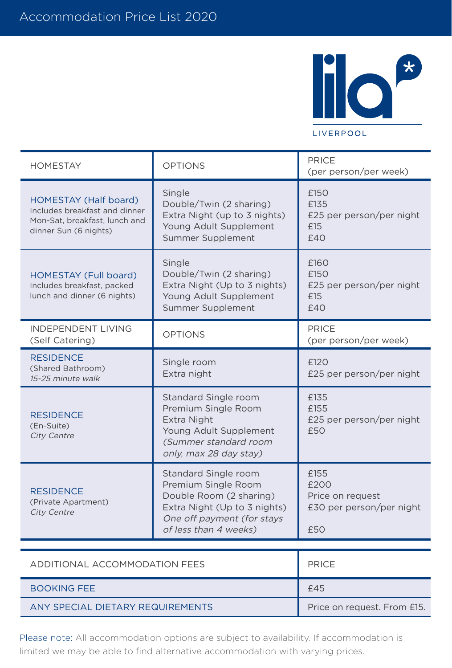

## HOMESTAY OPTIONS PRICE (per person/per week) HOMESTAY (Half board) Includes breakfast and dinner Mon-Sat, breakfast, lunch and dinner Sun (6 nights) Single Double/Twin (2 sharing) Extra Night (up to 3 nights) Young Adult Supplement Summer Supplement £150 £135 £25 per person/per night £15  $f40$ HOMESTAY (Full board) Includes breakfast, packed lunch and dinner (6 nights) Single Double/Twin (2 sharing) Extra Night (Up to 3 nights) Young Adult Supplement Summer Supplement £160 £150 £25 per person/per night £15 £40 INDEPENDENT LIVING (Self Catering) OPTIONS PRICE (per person/per week) **RESIDENCE** (Shared Bathroom) 15-25 minute walk Single room Extra night £120 £25 per person/per night RESIDENCE (En-Suite) City Centre Standard Single room Premium Single Room Extra Night Young Adult Supplement (Summer standard room only, max 28 day stay) £135 £155 £25 per person/per night £50 RESIDENCE (Private Apartment) City Centre Standard Single room Premium Single Room Double Room (2 sharing) Extra Night (Up to 3 nights) One off payment (for stays of less than 4 weeks) £155 £200 Price on request £30 per person/per night £50

| ADDITIONAL ACCOMMODATION FFFS    | <b>PRICE</b>                |
|----------------------------------|-----------------------------|
| <b>BOOKING FEE</b>               | £45                         |
| ANY SPECIAL DIFTARY REQUIREMENTS | Price on request. From £15. |

Please note: All accommodation options are subject to availability. If accommodation is limited we may be able to find alternative accommodation with varying prices.